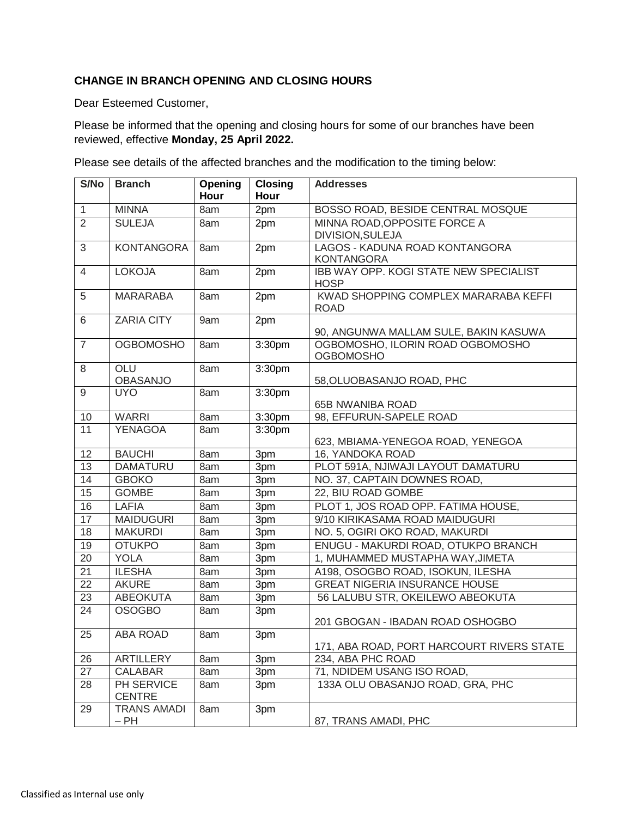## **CHANGE IN BRANCH OPENING AND CLOSING HOURS**

Dear Esteemed Customer,

Please be informed that the opening and closing hours for some of our branches have been reviewed, effective **Monday, 25 April 2022.**

Please see details of the affected branches and the modification to the timing below:

| S/No            | <b>Branch</b>               | Opening     | Closing | <b>Addresses</b>                                      |
|-----------------|-----------------------------|-------------|---------|-------------------------------------------------------|
|                 |                             | <b>Hour</b> | Hour    |                                                       |
| $\mathbf{1}$    | <b>MINNA</b>                | 8am         | 2pm     | BOSSO ROAD, BESIDE CENTRAL MOSQUE                     |
| $\overline{2}$  | <b>SULEJA</b>               | 8am         | 2pm     | MINNA ROAD, OPPOSITE FORCE A                          |
|                 |                             |             |         | DIVISION, SULEJA                                      |
| 3               | <b>KONTANGORA</b>           | 8am         | 2pm     | LAGOS - KADUNA ROAD KONTANGORA                        |
|                 |                             |             |         | <b>KONTANGORA</b>                                     |
| $\overline{4}$  | <b>LOKOJA</b>               | 8am         | 2pm     | IBB WAY OPP. KOGI STATE NEW SPECIALIST<br><b>HOSP</b> |
| 5               | <b>MARARABA</b>             | 8am         | 2pm     | KWAD SHOPPING COMPLEX MARARABA KEFFI<br><b>ROAD</b>   |
| 6               | <b>ZARIA CITY</b>           | 9am         | 2pm     |                                                       |
|                 |                             |             |         | 90, ANGUNWA MALLAM SULE, BAKIN KASUWA                 |
| $\overline{7}$  | <b>OGBOMOSHO</b>            | 8am         | 3:30pm  | OGBOMOSHO, ILORIN ROAD OGBOMOSHO<br><b>OGBOMOSHO</b>  |
| 8               | OLU                         | 8am         | 3:30pm  |                                                       |
|                 | <b>OBASANJO</b>             |             |         | 58, OLUOBASANJO ROAD, PHC                             |
| 9               | <b>UYO</b>                  | 8am         | 3:30pm  |                                                       |
|                 |                             |             |         | <b>65B NWANIBA ROAD</b>                               |
| 10              | <b>WARRI</b>                | 8am         | 3:30pm  | 98, EFFURUN-SAPELE ROAD                               |
| 11              | <b>YENAGOA</b>              | 8am         | 3:30pm  | 623, MBIAMA-YENEGOA ROAD, YENEGOA                     |
| 12              | <b>BAUCHI</b>               | 8am         | 3pm     | 16, YANDOKA ROAD                                      |
| 13              | <b>DAMATURU</b>             | 8am         | 3pm     | PLOT 591A, NJIWAJI LAYOUT DAMATURU                    |
| 14              | <b>GBOKO</b>                | 8am         | 3pm     | NO. 37, CAPTAIN DOWNES ROAD,                          |
| 15              | <b>GOMBE</b>                | 8am         | 3pm     | 22, BIU ROAD GOMBE                                    |
| 16              | <b>LAFIA</b>                | 8am         | 3pm     | PLOT 1, JOS ROAD OPP. FATIMA HOUSE,                   |
| 17              | <b>MAIDUGURI</b>            | 8am         | 3pm     | 9/10 KIRIKASAMA ROAD MAIDUGURI                        |
| 18              | <b>MAKURDI</b>              | 8am         | 3pm     | NO. 5, OGIRI OKO ROAD, MAKURDI                        |
| 19              | <b>OTUKPO</b>               | 8am         | 3pm     | ENUGU - MAKURDI ROAD, OTUKPO BRANCH                   |
| 20              | <b>YOLA</b>                 | 8am         | 3pm     | 1, MUHAMMED MUSTAPHA WAY, JIMETA                      |
| 21              | <b>ILESHA</b>               | 8am         | 3pm     | A198, OSOGBO ROAD, ISOKUN, ILESHA                     |
| 22              | <b>AKURE</b>                | 8am         | 3pm     | <b>GREAT NIGERIA INSURANCE HOUSE</b>                  |
| 23              | <b>ABEOKUTA</b>             | 8am         | 3pm     | 56 LALUBU STR, OKEILEWO ABEOKUTA                      |
| 24              | <b>OSOGBO</b>               | 8am         | 3pm     |                                                       |
|                 |                             |             |         | 201 GBOGAN - IBADAN ROAD OSHOGBO                      |
| 25              | <b>ABA ROAD</b>             | 8am         | 3pm     |                                                       |
|                 |                             |             |         | 171, ABA ROAD, PORT HARCOURT RIVERS STATE             |
| 26              | <b>ARTILLERY</b>            | 8am         | 3pm     | 234, ABA PHC ROAD                                     |
| $\overline{27}$ | <b>CALABAR</b>              | 8am         | 3pm     | 71, NDIDEM USANG ISO ROAD,                            |
| 28              | PH SERVICE<br><b>CENTRE</b> | 8am         | 3pm     | 133A OLU OBASANJO ROAD, GRA, PHC                      |
| 29              | <b>TRANS AMADI</b>          | 8am         | 3pm     |                                                       |
|                 | $-$ PH                      |             |         | 87, TRANS AMADI, PHC                                  |